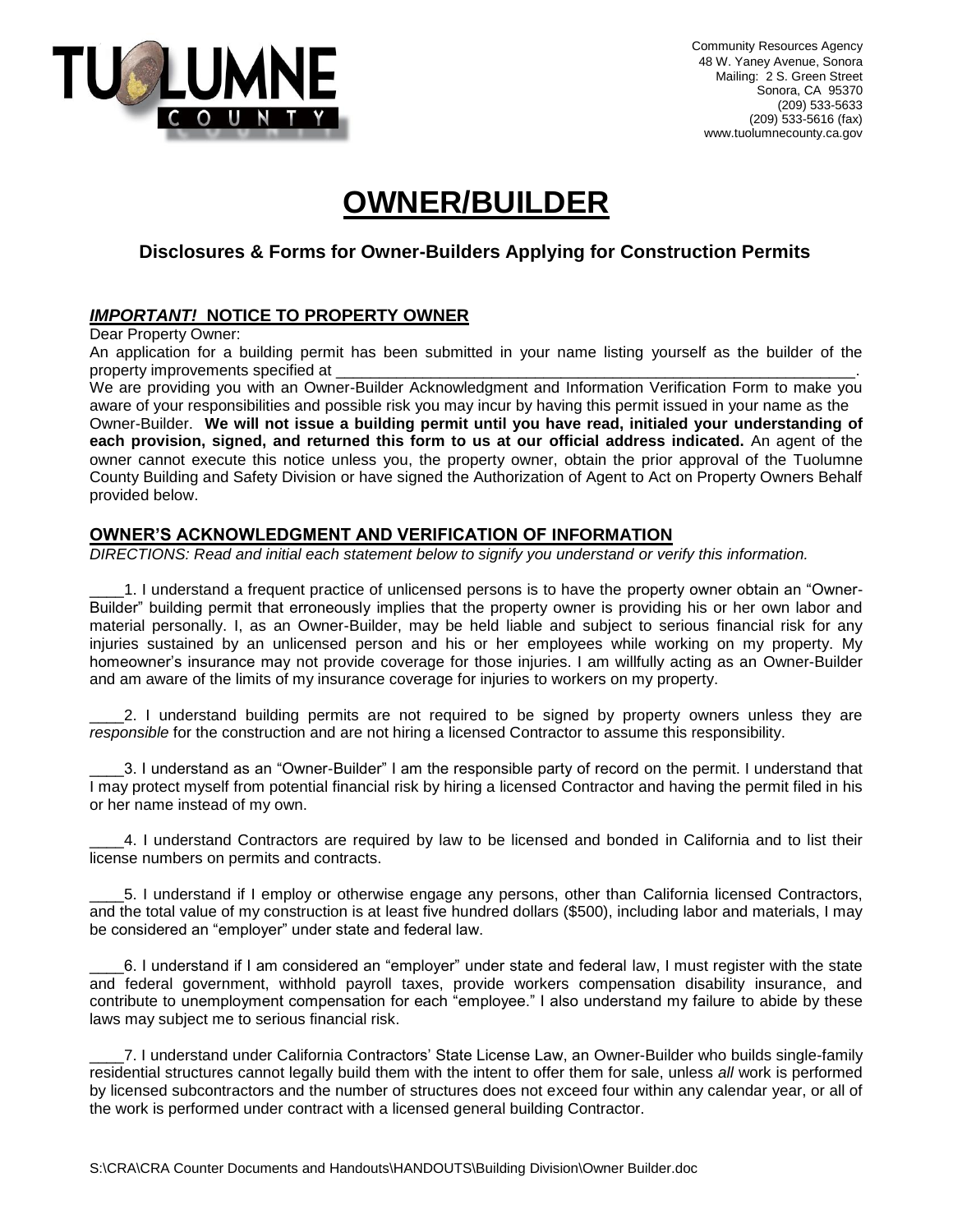

Community Resources Agency 48 W. Yaney Avenue, Sonora Mailing: 2 S. Green Street Sonora, CA 95370 (209) 533-5633 (209) 533-5616 (fax) www.tuolumnecounty.ca.gov

# **OWNER/BUILDER**

### **Disclosures & Forms for Owner-Builders Applying for Construction Permits**

## *IMPORTANT!* **NOTICE TO PROPERTY OWNER**

Dear Property Owner:

An application for a building permit has been submitted in your name listing yourself as the builder of the property improvements specified at

We are providing you with an Owner-Builder Acknowledgment and Information Verification Form to make you aware of your responsibilities and possible risk you may incur by having this permit issued in your name as the Owner-Builder. **We will not issue a building permit until you have read, initialed your understanding of each provision, signed, and returned this form to us at our official address indicated.** An agent of the owner cannot execute this notice unless you, the property owner, obtain the prior approval of the Tuolumne County Building and Safety Division or have signed the Authorization of Agent to Act on Property Owners Behalf provided below.

#### **OWNER'S ACKNOWLEDGMENT AND VERIFICATION OF INFORMATION**

*DIRECTIONS: Read and initial each statement below to signify you understand or verify this information.*

\_\_\_\_1. I understand a frequent practice of unlicensed persons is to have the property owner obtain an "Owner-Builder" building permit that erroneously implies that the property owner is providing his or her own labor and material personally. I, as an Owner-Builder, may be held liable and subject to serious financial risk for any injuries sustained by an unlicensed person and his or her employees while working on my property. My homeowner's insurance may not provide coverage for those injuries. I am willfully acting as an Owner-Builder and am aware of the limits of my insurance coverage for injuries to workers on my property.

2. I understand building permits are not required to be signed by property owners unless they are *responsible* for the construction and are not hiring a licensed Contractor to assume this responsibility.

\_\_\_\_3. I understand as an "Owner-Builder" I am the responsible party of record on the permit. I understand that I may protect myself from potential financial risk by hiring a licensed Contractor and having the permit filed in his or her name instead of my own.

\_\_\_\_4. I understand Contractors are required by law to be licensed and bonded in California and to list their license numbers on permits and contracts.

\_\_\_\_5. I understand if I employ or otherwise engage any persons, other than California licensed Contractors, and the total value of my construction is at least five hundred dollars (\$500), including labor and materials, I may be considered an "employer" under state and federal law.

\_\_\_\_6. I understand if I am considered an "employer" under state and federal law, I must register with the state and federal government, withhold payroll taxes, provide workers compensation disability insurance, and contribute to unemployment compensation for each "employee." I also understand my failure to abide by these laws may subject me to serious financial risk.

\_\_\_\_7. I understand under California Contractors' State License Law, an Owner-Builder who builds single-family residential structures cannot legally build them with the intent to offer them for sale, unless *all* work is performed by licensed subcontractors and the number of structures does not exceed four within any calendar year, or all of the work is performed under contract with a licensed general building Contractor.